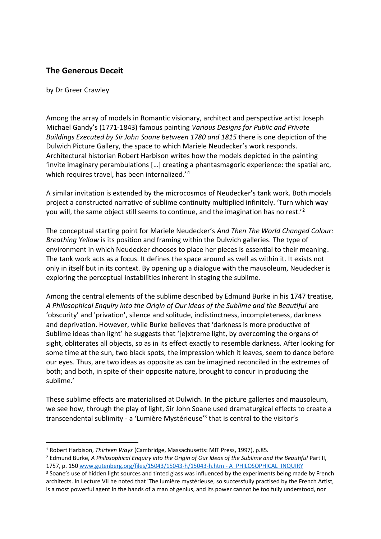## **The Generous Deceit**

## by Dr Greer Crawley

 $\overline{a}$ 

Among the array of models in Romantic visionary, architect and perspective artist Joseph Michael Gandy's (1771-1843) famous painting *Various Designs for Public and Private Buildings Executed by Sir John Soane between 1780 and 1815* there is one depiction of the Dulwich Picture Gallery, the space to which Mariele Neudecker's work responds. Architectural historian Robert Harbison writes how the models depicted in the painting 'invite imaginary perambulations […] creating a phantasmagoric experience: the spatial arc, which requires travel, has been internalized.<sup>'i1</sup>

A similar invitation is extended by the microcosmos of Neudecker's tank work. Both models project a constructed narrative of sublime continuity multiplied infinitely. 'Turn which way you will, the same object still seems to continue, and the imagination has no rest.<sup>'2</sup>

The conceptual starting point for Mariele Neudecker's *And Then The World Changed Colour: Breathing Yellow* is its position and framing within the Dulwich galleries. The type of environment in which Neudecker chooses to place her pieces is essential to their meaning. The tank work acts as a focus. It defines the space around as well as within it. It exists not only in itself but in its context. By opening up a dialogue with the mausoleum, Neudecker is exploring the perceptual instabilities inherent in staging the sublime.

Among the central elements of the sublime described by Edmund Burke in his 1747 treatise, *A Philosophical Enquiry into the Origin of Our Ideas of the Sublime and the Beautiful* are 'obscurity' and 'privation', silence and solitude, indistinctness, incompleteness, darkness and deprivation. However, while Burke believes that 'darkness is more productive of Sublime ideas than light' he suggests that '[e]xtreme light, by overcoming the organs of sight, obliterates all objects, so as in its effect exactly to resemble darkness. After looking for some time at the sun, two black spots, the impression which it leaves, seem to dance before our eyes. Thus, are two ideas as opposite as can be imagined reconciled in the extremes of both; and both, in spite of their opposite nature, brought to concur in producing the sublime.'

These sublime effects are materialised at Dulwich. In the picture galleries and mausoleum, we see how, through the play of light, Sir John Soane used dramaturgical effects to create a transcendental sublimity - a 'Lumière Mystérieuse'<sup>3</sup> that is central to the visitor's

<sup>1</sup> Robert Harbison, *Thirteen Ways* (Cambridge, Massachusetts: MIT Press, 1997), p.85.

<sup>2</sup> Edmund Burke, *A Philosophical Enquiry into the Origin of Our Ideas of the Sublime and the Beautiful* Part II, 1757, p. 15[0 www.gutenberg.org/files/15043/15043-h/15043-h.htm -](http://www.gutenberg.org/files/15043/15043-h/15043-h.htm#A_PHILOSOPHICAL_INQUIRY) A\_PHILOSOPHICAL\_INQUIRY

<sup>&</sup>lt;sup>3</sup> Soane's use of hidden light sources and tinted glass was influenced by the experiments being made by French architects. In Lecture VII he noted that 'The lumière mystérieuse, so successfully practised by the French Artist, is a most powerful agent in the hands of a man of genius, and its power cannot be too fully understood, nor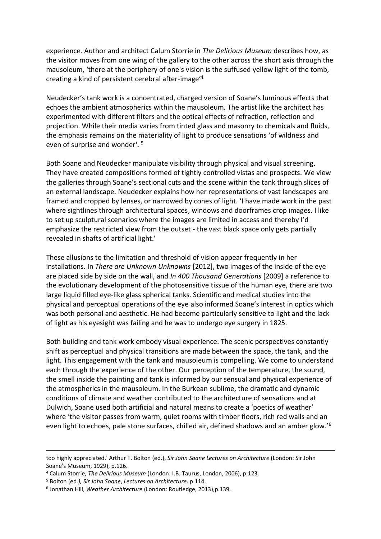experience. Author and architect Calum Storrie in *The Delirious Museum* describes how, as the visitor moves from one wing of the gallery to the other across the short axis through the mausoleum, 'there at the periphery of one's vision is the suffused yellow light of the tomb, creating a kind of persistent cerebral after-image'<sup>4</sup>

Neudecker's tank work is a concentrated, charged version of Soane's luminous effects that echoes the ambient atmospherics within the mausoleum. The artist like the architect has experimented with different filters and the optical effects of refraction, reflection and projection. While their media varies from tinted glass and masonry to chemicals and fluids, the emphasis remains on the materiality of light to produce sensations 'of wildness and even of surprise and wonder'. <sup>5</sup>

Both Soane and Neudecker manipulate visibility through physical and visual screening. They have created compositions formed of tightly controlled vistas and prospects. We view the galleries through Soane's sectional cuts and the scene within the tank through slices of an external landscape. Neudecker explains how her representations of vast landscapes are framed and cropped by lenses, or narrowed by cones of light. 'I have made work in the past where sightlines through architectural spaces, windows and doorframes crop images. I like to set up sculptural scenarios where the images are limited in access and thereby I'd emphasize the restricted view from the outset - the vast black space only gets partially revealed in shafts of artificial light.'

These allusions to the limitation and threshold of vision appear frequently in her installations. In *There are Unknown Unknowns* [2012], two images of the inside of the eye are placed side by side on the wall, and *In 400 Thousand Generations* [2009] a reference to the evolutionary development of the photosensitive tissue of the human eye, there are two large liquid filled eye-like glass spherical tanks. Scientific and medical studies into the physical and perceptual operations of the eye also informed Soane's interest in optics which was both personal and aesthetic. He had become particularly sensitive to light and the lack of light as his eyesight was failing and he was to undergo eye surgery in 1825.

Both building and tank work embody visual experience. The scenic perspectives constantly shift as perceptual and physical transitions are made between the space, the tank, and the light. This engagement with the tank and mausoleum is compelling. We come to understand each through the experience of the other. Our perception of the temperature, the sound, the smell inside the painting and tank is informed by our sensual and physical experience of the atmospherics in the mausoleum. In the Burkean sublime, the dramatic and dynamic conditions of climate and weather contributed to the architecture of sensations and at Dulwich, Soane used both artificial and natural means to create a 'poetics of weather' where 'the visitor passes from warm, quiet rooms with timber floors, rich red walls and an even light to echoes, pale stone surfaces, chilled air, defined shadows and an amber glow.'<sup>6</sup>

l

too highly appreciated.' Arthur T. Bolton (ed.), *Sir John Soane Lectures on Architecture* (London: Sir John Soane's Museum, 1929), p.126.

<sup>4</sup> Calum Storrie, *The Delirious Museum* (London: I.B. Taurus, London, 2006), p.123.

<sup>5</sup> Bolton (ed*.), Sir John Soane*, *Lectures on Architecture.* p.114.

<sup>6</sup> Jonathan Hill, *Weather Architecture* (London: Routledge, 2013),p.139.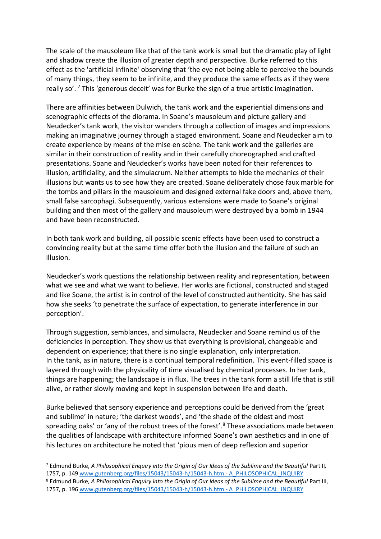The scale of the mausoleum like that of the tank work is small but the dramatic play of light and shadow create the illusion of greater depth and perspective. Burke referred to this effect as the 'artificial infinite' observing that 'the eye not being able to perceive the bounds of many things, they seem to be infinite, and they produce the same effects as if they were really so'.<sup>7</sup> This 'generous deceit' was for Burke the sign of a true artistic imagination.

There are affinities between Dulwich, the tank work and the experiential dimensions and scenographic effects of the diorama. In Soane's mausoleum and picture gallery and Neudecker's tank work, the visitor wanders through a collection of images and impressions making an imaginative journey through a staged environment. Soane and Neudecker aim to create experience by means of the mise en scène. The tank work and the galleries are similar in their construction of reality and in their carefully choreographed and crafted presentations. Soane and Neudecker's works have been noted for their references to illusion, artificiality, and the simulacrum. Neither attempts to hide the mechanics of their illusions but wants us to see how they are created. Soane deliberately chose faux marble for the tombs and pillars in the mausoleum and designed external fake doors and, above them, small false sarcophagi. Subsequently, various extensions were made to Soane's original building and then most of the gallery and mausoleum were destroyed by a bomb in 1944 and have been reconstructed.

In both tank work and building, all possible scenic effects have been used to construct a convincing reality but at the same time offer both the illusion and the failure of such an illusion.

Neudecker's work questions the relationship between reality and representation, between what we see and what we want to believe. Her works are fictional, constructed and staged and like Soane, the artist is in control of the level of constructed authenticity. She has said how she seeks 'to penetrate the surface of expectation, to generate interference in our perception'.

Through suggestion, semblances, and simulacra, Neudecker and Soane remind us of the deficiencies in perception. They show us that everything is provisional, changeable and dependent on experience; that there is no single explanation, only interpretation. In the tank, as in nature, there is a continual temporal redefinition. This event-filled space is layered through with the physicality of time visualised by chemical processes. In her tank, things are happening; the landscape is in flux. The trees in the tank form a still life that is still alive, or rather slowly moving and kept in suspension between life and death.

Burke believed that sensory experience and perceptions could be derived from the 'great and sublime' in nature; 'the darkest woods', and 'the shade of the oldest and most spreading oaks' or 'any of the robust trees of the forest'.<sup>8</sup> These associations made between the qualities of landscape with architecture informed Soane's own aesthetics and in one of his lectures on architecture he noted that 'pious men of deep reflexion and superior

 $\overline{a}$ 

<sup>8</sup> Edmund Burke, *A Philosophical Enquiry into the Origin of Our Ideas of the Sublime and the Beautiful* Part III, 1757, p. 196 [www.gutenberg.org/files/15043/15043-h/15043-h.htm -](http://www.gutenberg.org/files/15043/15043-h/15043-h.htm#A_PHILOSOPHICAL_INQUIRY) A\_PHILOSOPHICAL\_INQUIRY

<sup>7</sup> Edmund Burke, *A Philosophical Enquiry into the Origin of Our Ideas of the Sublime and the Beautiful* Part II*,*  1757, p. 149 [www.gutenberg.org/files/15043/15043-h/15043-h.htm -](http://www.gutenberg.org/files/15043/15043-h/15043-h.htm#A_PHILOSOPHICAL_INQUIRY) A\_PHILOSOPHICAL\_INQUIRY